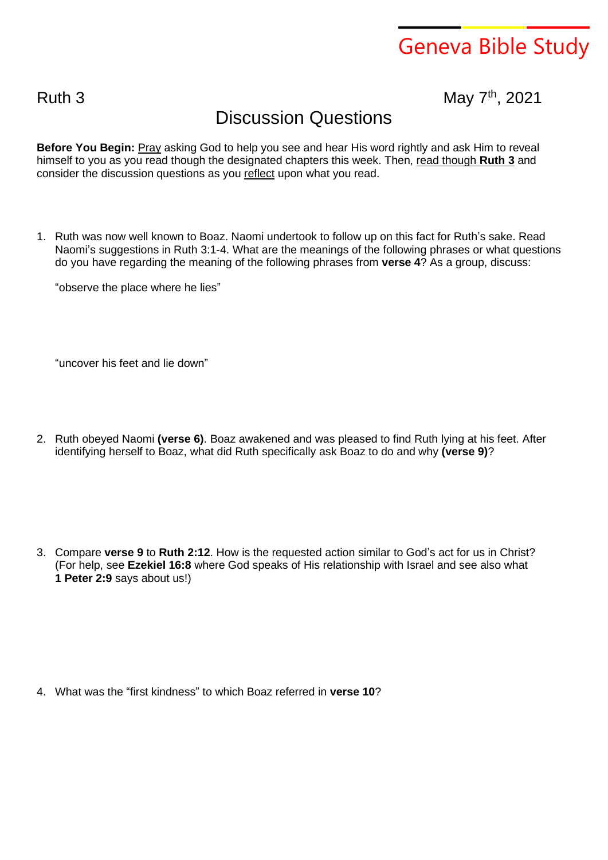## Geneva Bible Study

## Ruth 3 May 7

## th , 2021

## Discussion Questions

**Before You Begin:** Pray asking God to help you see and hear His word rightly and ask Him to reveal himself to you as you read though the designated chapters this week. Then, read though **Ruth 3** and consider the discussion questions as you reflect upon what you read.

1. Ruth was now well known to Boaz. Naomi undertook to follow up on this fact for Ruth's sake. Read Naomi's suggestions in Ruth 3:1-4. What are the meanings of the following phrases or what questions do you have regarding the meaning of the following phrases from **verse 4**? As a group, discuss:

"observe the place where he lies"

"uncover his feet and lie down"

2. Ruth obeyed Naomi **(verse 6)**. Boaz awakened and was pleased to find Ruth lying at his feet. After identifying herself to Boaz, what did Ruth specifically ask Boaz to do and why **(verse 9)**?

3. Compare **verse 9** to **Ruth 2:12**. How is the requested action similar to God's act for us in Christ? (For help, see **Ezekiel 16:8** where God speaks of His relationship with Israel and see also what **1 Peter 2:9** says about us!)

4. What was the "first kindness" to which Boaz referred in **verse 10**?